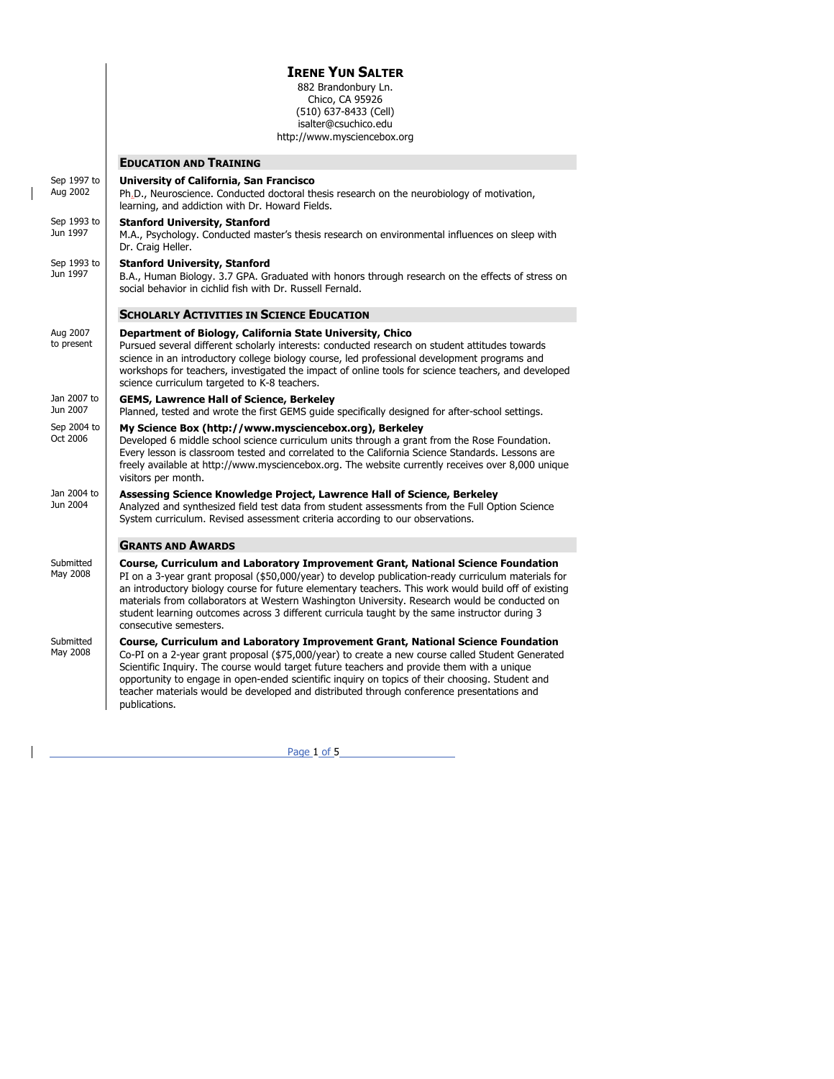|                         | <b>IRENE YUN SALTER</b><br>882 Brandonbury Ln.<br>Chico, CA 95926<br>(510) 637-8433 (Cell)<br>isalter@csuchico.edu<br>http://www.mysciencebox.org                                                                                                                                                                                                                                                                                                                                                                           |
|-------------------------|-----------------------------------------------------------------------------------------------------------------------------------------------------------------------------------------------------------------------------------------------------------------------------------------------------------------------------------------------------------------------------------------------------------------------------------------------------------------------------------------------------------------------------|
|                         | <b>EDUCATION AND TRAINING</b>                                                                                                                                                                                                                                                                                                                                                                                                                                                                                               |
| Sep 1997 to<br>Aug 2002 | University of California, San Francisco<br>Ph <sub>-</sub> D., Neuroscience. Conducted doctoral thesis research on the neurobiology of motivation,<br>learning, and addiction with Dr. Howard Fields.                                                                                                                                                                                                                                                                                                                       |
| Sep 1993 to<br>Jun 1997 | <b>Stanford University, Stanford</b><br>M.A., Psychology. Conducted master's thesis research on environmental influences on sleep with<br>Dr. Craig Heller.                                                                                                                                                                                                                                                                                                                                                                 |
| Sep 1993 to<br>Jun 1997 | <b>Stanford University, Stanford</b><br>B.A., Human Biology. 3.7 GPA. Graduated with honors through research on the effects of stress on<br>social behavior in cichlid fish with Dr. Russell Fernald.                                                                                                                                                                                                                                                                                                                       |
|                         | <b>SCHOLARLY ACTIVITIES IN SCIENCE EDUCATION</b>                                                                                                                                                                                                                                                                                                                                                                                                                                                                            |
| Aug 2007<br>to present  | Department of Biology, California State University, Chico<br>Pursued several different scholarly interests: conducted research on student attitudes towards<br>science in an introductory college biology course, led professional development programs and<br>workshops for teachers, investigated the impact of online tools for science teachers, and developed<br>science curriculum targeted to K-8 teachers.                                                                                                          |
| Jan 2007 to<br>Jun 2007 | <b>GEMS, Lawrence Hall of Science, Berkeley</b><br>Planned, tested and wrote the first GEMS guide specifically designed for after-school settings.                                                                                                                                                                                                                                                                                                                                                                          |
| Sep 2004 to<br>Oct 2006 | My Science Box (http://www.mysciencebox.org), Berkeley<br>Developed 6 middle school science curriculum units through a grant from the Rose Foundation.<br>Every lesson is classroom tested and correlated to the California Science Standards. Lessons are<br>freely available at http://www.mysciencebox.org. The website currently receives over 8,000 unique<br>visitors per month.                                                                                                                                      |
| Jan 2004 to<br>Jun 2004 | Assessing Science Knowledge Project, Lawrence Hall of Science, Berkeley<br>Analyzed and synthesized field test data from student assessments from the Full Option Science<br>System curriculum. Revised assessment criteria according to our observations.                                                                                                                                                                                                                                                                  |
|                         | <b>GRANTS AND AWARDS</b>                                                                                                                                                                                                                                                                                                                                                                                                                                                                                                    |
| Submitted<br>May 2008   | Course, Curriculum and Laboratory Improvement Grant, National Science Foundation<br>PI on a 3-year grant proposal (\$50,000/year) to develop publication-ready curriculum materials for<br>an introductory biology course for future elementary teachers. This work would build off of existing<br>materials from collaborators at Western Washington University. Research would be conducted on<br>student learning outcomes across 3 different curricula taught by the same instructor during 3<br>consecutive semesters. |
| Submitted<br>May 2008   | Course, Curriculum and Laboratory Improvement Grant, National Science Foundation<br>Co-PI on a 2-year grant proposal (\$75,000/year) to create a new course called Student Generated<br>Scientific Inquiry. The course would target future teachers and provide them with a unique<br>opportunity to engage in open-ended scientific inquiry on topics of their choosing. Student and<br>teacher materials would be developed and distributed through conference presentations and<br>publications.                         |

 $\overline{\phantom{a}}$ 

 $\mathbf{I}$ 

Page 1 of 5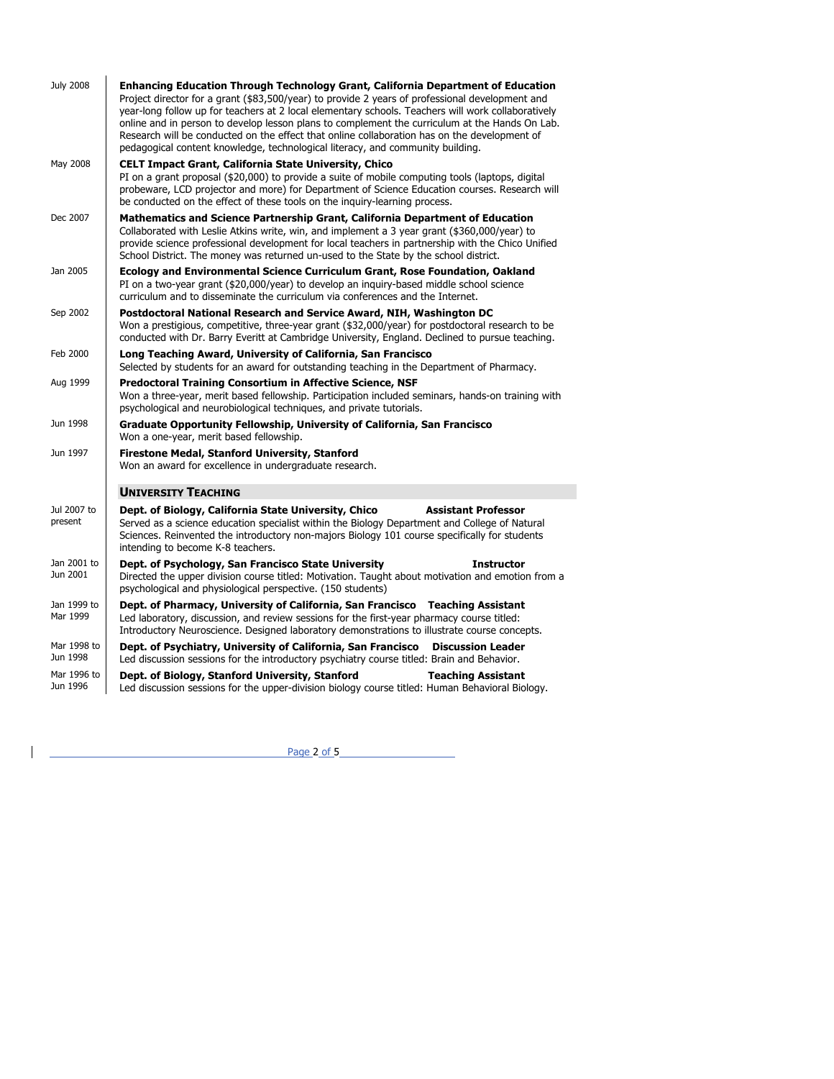| <b>July 2008</b>        | <b>Enhancing Education Through Technology Grant, California Department of Education</b><br>Project director for a grant (\$83,500/year) to provide 2 years of professional development and<br>year-long follow up for teachers at 2 local elementary schools. Teachers will work collaboratively<br>online and in person to develop lesson plans to complement the curriculum at the Hands On Lab.<br>Research will be conducted on the effect that online collaboration has on the development of<br>pedagogical content knowledge, technological literacy, and community building. |
|-------------------------|--------------------------------------------------------------------------------------------------------------------------------------------------------------------------------------------------------------------------------------------------------------------------------------------------------------------------------------------------------------------------------------------------------------------------------------------------------------------------------------------------------------------------------------------------------------------------------------|
| May 2008                | <b>CELT Impact Grant, California State University, Chico</b><br>PI on a grant proposal (\$20,000) to provide a suite of mobile computing tools (laptops, digital<br>probeware, LCD projector and more) for Department of Science Education courses. Research will<br>be conducted on the effect of these tools on the inquiry-learning process.                                                                                                                                                                                                                                      |
| Dec 2007                | Mathematics and Science Partnership Grant, California Department of Education<br>Collaborated with Leslie Atkins write, win, and implement a 3 year grant (\$360,000/year) to<br>provide science professional development for local teachers in partnership with the Chico Unified<br>School District. The money was returned un-used to the State by the school district.                                                                                                                                                                                                           |
| Jan 2005                | <b>Ecology and Environmental Science Curriculum Grant, Rose Foundation, Oakland</b><br>PI on a two-year grant (\$20,000/year) to develop an inguiry-based middle school science<br>curriculum and to disseminate the curriculum via conferences and the Internet.                                                                                                                                                                                                                                                                                                                    |
| Sep 2002                | Postdoctoral National Research and Service Award, NIH, Washington DC<br>Won a prestigious, competitive, three-year grant (\$32,000/year) for postdoctoral research to be<br>conducted with Dr. Barry Everitt at Cambridge University, England. Declined to pursue teaching.                                                                                                                                                                                                                                                                                                          |
| Feb 2000                | Long Teaching Award, University of California, San Francisco<br>Selected by students for an award for outstanding teaching in the Department of Pharmacy.                                                                                                                                                                                                                                                                                                                                                                                                                            |
| Aug 1999                | <b>Predoctoral Training Consortium in Affective Science, NSF</b><br>Won a three-year, merit based fellowship. Participation included seminars, hands-on training with<br>psychological and neurobiological techniques, and private tutorials.                                                                                                                                                                                                                                                                                                                                        |
| Jun 1998                | Graduate Opportunity Fellowship, University of California, San Francisco<br>Won a one-year, merit based fellowship.                                                                                                                                                                                                                                                                                                                                                                                                                                                                  |
| Jun 1997                | <b>Firestone Medal, Stanford University, Stanford</b><br>Won an award for excellence in undergraduate research.                                                                                                                                                                                                                                                                                                                                                                                                                                                                      |
|                         | <b>UNIVERSITY TEACHING</b>                                                                                                                                                                                                                                                                                                                                                                                                                                                                                                                                                           |
| Jul 2007 to<br>present  | <b>Assistant Professor</b><br>Dept. of Biology, California State University, Chico<br>Served as a science education specialist within the Biology Department and College of Natural<br>Sciences. Reinvented the introductory non-majors Biology 101 course specifically for students<br>intending to become K-8 teachers.                                                                                                                                                                                                                                                            |
| Jan 2001 to<br>Jun 2001 | Dept. of Psychology, San Francisco State University<br><b>Instructor</b><br>Directed the upper division course titled: Motivation. Taught about motivation and emotion from a<br>psychological and physiological perspective. (150 students)                                                                                                                                                                                                                                                                                                                                         |
| Jan 1999 to<br>Mar 1999 | Dept. of Pharmacy, University of California, San Francisco Teaching Assistant<br>Led laboratory, discussion, and review sessions for the first-year pharmacy course titled:<br>Introductory Neuroscience. Designed laboratory demonstrations to illustrate course concepts.                                                                                                                                                                                                                                                                                                          |
| Mar 1998 to<br>Jun 1998 | Dept. of Psychiatry, University of California, San Francisco<br><b>Discussion Leader</b><br>Led discussion sessions for the introductory psychiatry course titled: Brain and Behavior.                                                                                                                                                                                                                                                                                                                                                                                               |
| Mar 1996 to<br>Jun 1996 | Dept. of Biology, Stanford University, Stanford<br><b>Teaching Assistant</b><br>Led discussion sessions for the upper-division biology course titled: Human Behavioral Biology.                                                                                                                                                                                                                                                                                                                                                                                                      |

Page 2 of 5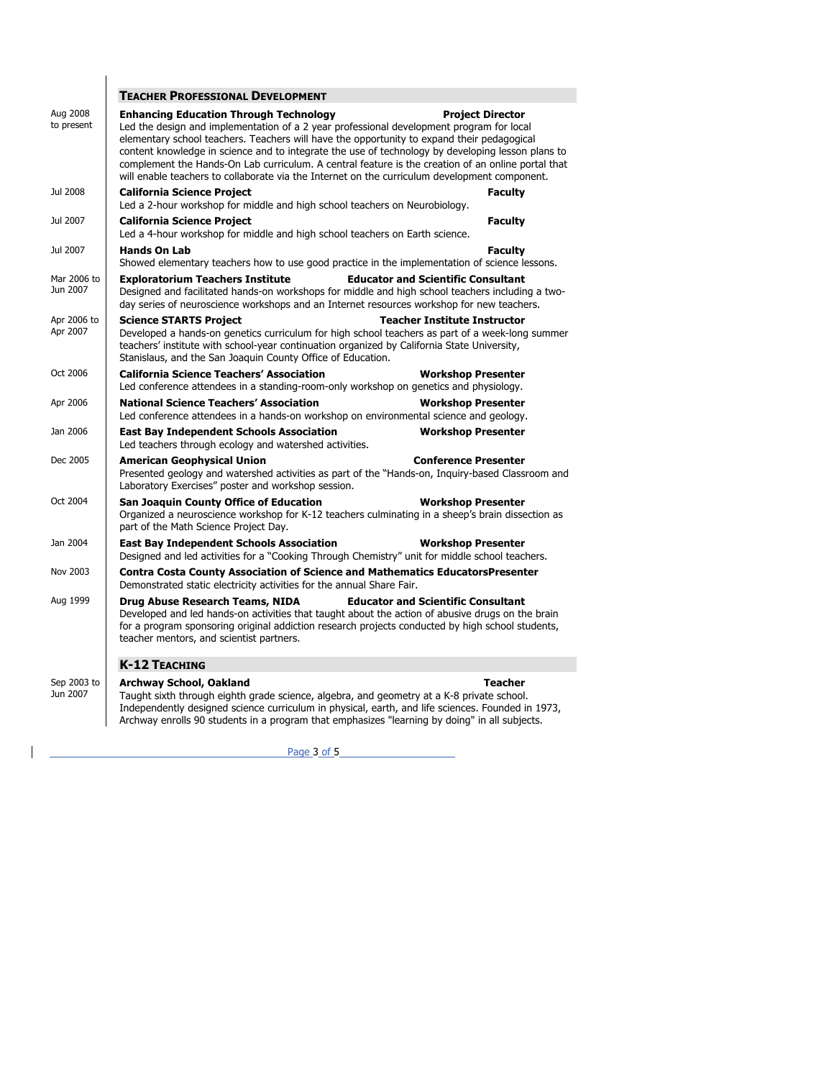|                         | <b>TEACHER PROFESSIONAL DEVELOPMENT</b>                                                                                                                                                                                                                                                                                                                                                                                                                                                                                                                                        |
|-------------------------|--------------------------------------------------------------------------------------------------------------------------------------------------------------------------------------------------------------------------------------------------------------------------------------------------------------------------------------------------------------------------------------------------------------------------------------------------------------------------------------------------------------------------------------------------------------------------------|
| Aug 2008<br>to present  | <b>Enhancing Education Through Technology</b><br><b>Project Director</b><br>Led the design and implementation of a 2 year professional development program for local<br>elementary school teachers. Teachers will have the opportunity to expand their pedagogical<br>content knowledge in science and to integrate the use of technology by developing lesson plans to<br>complement the Hands-On Lab curriculum. A central feature is the creation of an online portal that<br>will enable teachers to collaborate via the Internet on the curriculum development component. |
| Jul 2008                | <b>California Science Project</b><br><b>Faculty</b><br>Led a 2-hour workshop for middle and high school teachers on Neurobiology.                                                                                                                                                                                                                                                                                                                                                                                                                                              |
| Jul 2007                | <b>Faculty</b><br><b>California Science Project</b><br>Led a 4-hour workshop for middle and high school teachers on Earth science.                                                                                                                                                                                                                                                                                                                                                                                                                                             |
| Jul 2007                | <b>Hands On Lab</b><br><b>Faculty</b><br>Showed elementary teachers how to use good practice in the implementation of science lessons.                                                                                                                                                                                                                                                                                                                                                                                                                                         |
| Mar 2006 to<br>Jun 2007 | <b>Exploratorium Teachers Institute</b><br><b>Educator and Scientific Consultant</b><br>Designed and facilitated hands-on workshops for middle and high school teachers including a two-<br>day series of neuroscience workshops and an Internet resources workshop for new teachers.                                                                                                                                                                                                                                                                                          |
| Apr 2006 to<br>Apr 2007 | <b>Science STARTS Project</b><br><b>Teacher Institute Instructor</b><br>Developed a hands-on genetics curriculum for high school teachers as part of a week-long summer<br>teachers' institute with school-year continuation organized by California State University,<br>Stanislaus, and the San Joaquin County Office of Education.                                                                                                                                                                                                                                          |
| Oct 2006                | <b>California Science Teachers' Association</b><br><b>Workshop Presenter</b><br>Led conference attendees in a standing-room-only workshop on genetics and physiology.                                                                                                                                                                                                                                                                                                                                                                                                          |
| Apr 2006                | <b>National Science Teachers' Association</b><br><b>Workshop Presenter</b><br>Led conference attendees in a hands-on workshop on environmental science and geology.                                                                                                                                                                                                                                                                                                                                                                                                            |
| Jan 2006                | <b>East Bay Independent Schools Association</b><br><b>Workshop Presenter</b><br>Led teachers through ecology and watershed activities.                                                                                                                                                                                                                                                                                                                                                                                                                                         |
| Dec 2005                | <b>American Geophysical Union</b><br><b>Conference Presenter</b><br>Presented geology and watershed activities as part of the "Hands-on, Inquiry-based Classroom and<br>Laboratory Exercises" poster and workshop session.                                                                                                                                                                                                                                                                                                                                                     |
| Oct 2004                | <b>San Joaquin County Office of Education</b><br><b>Workshop Presenter</b><br>Organized a neuroscience workshop for K-12 teachers culminating in a sheep's brain dissection as<br>part of the Math Science Project Day.                                                                                                                                                                                                                                                                                                                                                        |
| Jan 2004                | <b>East Bay Independent Schools Association</b><br><b>Workshop Presenter</b><br>Designed and led activities for a "Cooking Through Chemistry" unit for middle school teachers.                                                                                                                                                                                                                                                                                                                                                                                                 |
| Nov 2003                | <b>Contra Costa County Association of Science and Mathematics EducatorsPresenter</b><br>Demonstrated static electricity activities for the annual Share Fair.                                                                                                                                                                                                                                                                                                                                                                                                                  |
| Aug 1999                | Drug Abuse Research Teams, NIDA<br><b>Educator and Scientific Consultant</b><br>Developed and led hands-on activities that taught about the action of abusive drugs on the brain<br>for a program sponsoring original addiction research projects conducted by high school students,<br>teacher mentors, and scientist partners.                                                                                                                                                                                                                                               |
|                         | <b>K-12 TEACHING</b>                                                                                                                                                                                                                                                                                                                                                                                                                                                                                                                                                           |
|                         |                                                                                                                                                                                                                                                                                                                                                                                                                                                                                                                                                                                |

Sep 2003 to **Archway School, Oakland**<br>Jun 2007 Taught sixth through eighth grade science, algebra, and geometry at a K-8 private school. Jun 2007  $\Box$  Taught sixth through eighth grade science, algebra, and geometry at a K-8 private school. Independently designed science curriculum in physical, earth, and life sciences. Founded in 1973, Archway enrolls 90 students in a program that emphasizes "learning by doing" in all subjects.

 $\overline{\phantom{a}}$ 

<u>Page 3 of 5</u>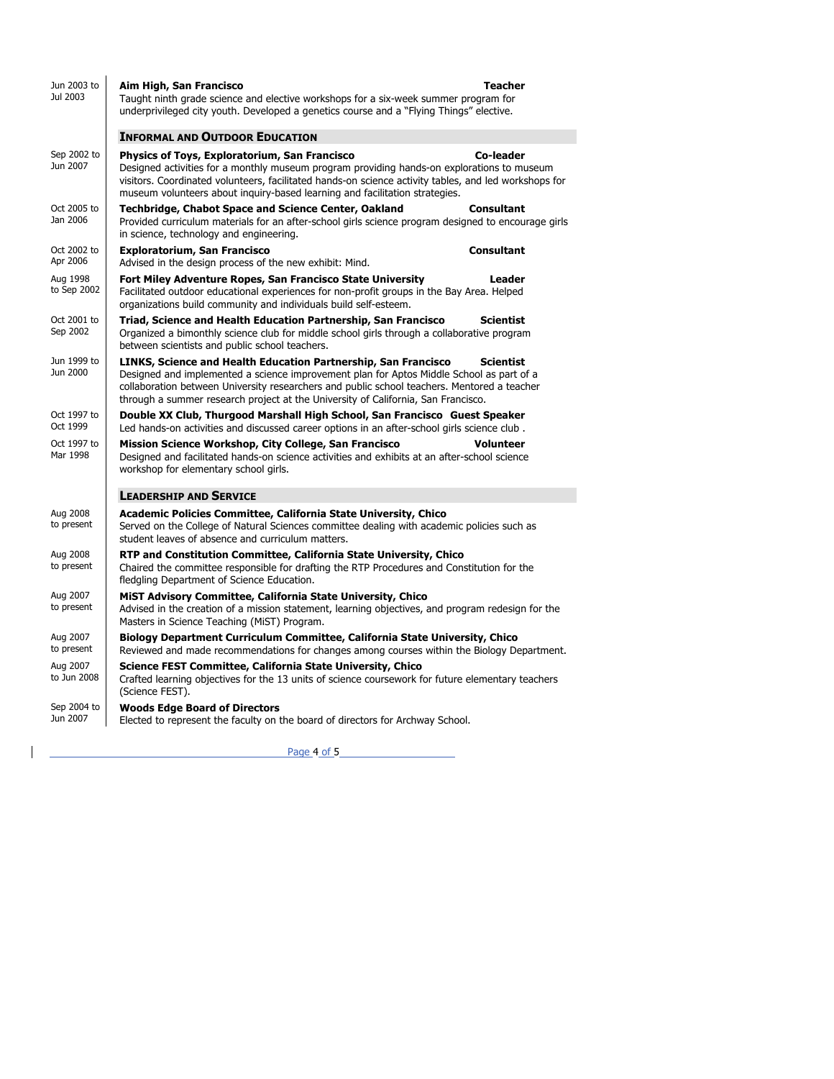| Jun 2003 to<br>Jul 2003 | Aim High, San Francisco<br>Teacher<br>Taught ninth grade science and elective workshops for a six-week summer program for<br>underprivileged city youth. Developed a genetics course and a "Flying Things" elective.                                                                                                                                               |
|-------------------------|--------------------------------------------------------------------------------------------------------------------------------------------------------------------------------------------------------------------------------------------------------------------------------------------------------------------------------------------------------------------|
|                         | <b>INFORMAL AND OUTDOOR EDUCATION</b>                                                                                                                                                                                                                                                                                                                              |
| Sep 2002 to<br>Jun 2007 | <b>Physics of Toys, Exploratorium, San Francisco</b><br>Co-leader<br>Designed activities for a monthly museum program providing hands-on explorations to museum<br>visitors. Coordinated volunteers, facilitated hands-on science activity tables, and led workshops for<br>museum volunteers about inquiry-based learning and facilitation strategies.            |
| Oct 2005 to<br>Jan 2006 | Techbridge, Chabot Space and Science Center, Oakland<br><b>Consultant</b><br>Provided curriculum materials for an after-school girls science program designed to encourage girls<br>in science, technology and engineering.                                                                                                                                        |
| Oct 2002 to<br>Apr 2006 | <b>Exploratorium, San Francisco</b><br><b>Consultant</b><br>Advised in the design process of the new exhibit: Mind.                                                                                                                                                                                                                                                |
| Aug 1998<br>to Sep 2002 | Fort Miley Adventure Ropes, San Francisco State University<br>Leader<br>Facilitated outdoor educational experiences for non-profit groups in the Bay Area. Helped<br>organizations build community and individuals build self-esteem.                                                                                                                              |
| Oct 2001 to<br>Sep 2002 | Triad, Science and Health Education Partnership, San Francisco<br><b>Scientist</b><br>Organized a bimonthly science club for middle school girls through a collaborative program<br>between scientists and public school teachers.                                                                                                                                 |
| Jun 1999 to<br>Jun 2000 | LINKS, Science and Health Education Partnership, San Francisco<br><b>Scientist</b><br>Designed and implemented a science improvement plan for Aptos Middle School as part of a<br>collaboration between University researchers and public school teachers. Mentored a teacher<br>through a summer research project at the University of California, San Francisco. |
| Oct 1997 to<br>Oct 1999 | Double XX Club, Thurgood Marshall High School, San Francisco Guest Speaker<br>Led hands-on activities and discussed career options in an after-school girls science club.                                                                                                                                                                                          |
| Oct 1997 to<br>Mar 1998 | Mission Science Workshop, City College, San Francisco<br>Volunteer<br>Designed and facilitated hands-on science activities and exhibits at an after-school science<br>workshop for elementary school girls.                                                                                                                                                        |
|                         | <b>LEADERSHIP AND SERVICE</b>                                                                                                                                                                                                                                                                                                                                      |
| Aug 2008<br>to present  | <b>Academic Policies Committee, California State University, Chico</b><br>Served on the College of Natural Sciences committee dealing with academic policies such as<br>student leaves of absence and curriculum matters.                                                                                                                                          |
| Aug 2008<br>to present  | RTP and Constitution Committee, California State University, Chico<br>Chaired the committee responsible for drafting the RTP Procedures and Constitution for the<br>fledgling Department of Science Education.                                                                                                                                                     |
| Aug 2007<br>to present  | MIST Advisory Committee, California State University, Chico<br>Advised in the creation of a mission statement, learning objectives, and program redesign for the<br>Masters in Science Teaching (MiST) Program.                                                                                                                                                    |
| Aug 2007<br>to present  | Biology Department Curriculum Committee, California State University, Chico<br>Reviewed and made recommendations for changes among courses within the Biology Department.                                                                                                                                                                                          |
| Aug 2007<br>to Jun 2008 | Science FEST Committee, California State University, Chico<br>Crafted learning objectives for the 13 units of science coursework for future elementary teachers<br>(Science FEST).                                                                                                                                                                                 |
| Sep 2004 to<br>Jun 2007 | <b>Woods Edge Board of Directors</b><br>Elected to represent the faculty on the board of directors for Archway School.                                                                                                                                                                                                                                             |

<u>Page 4 of 5</u>

 $\mathbf{I}$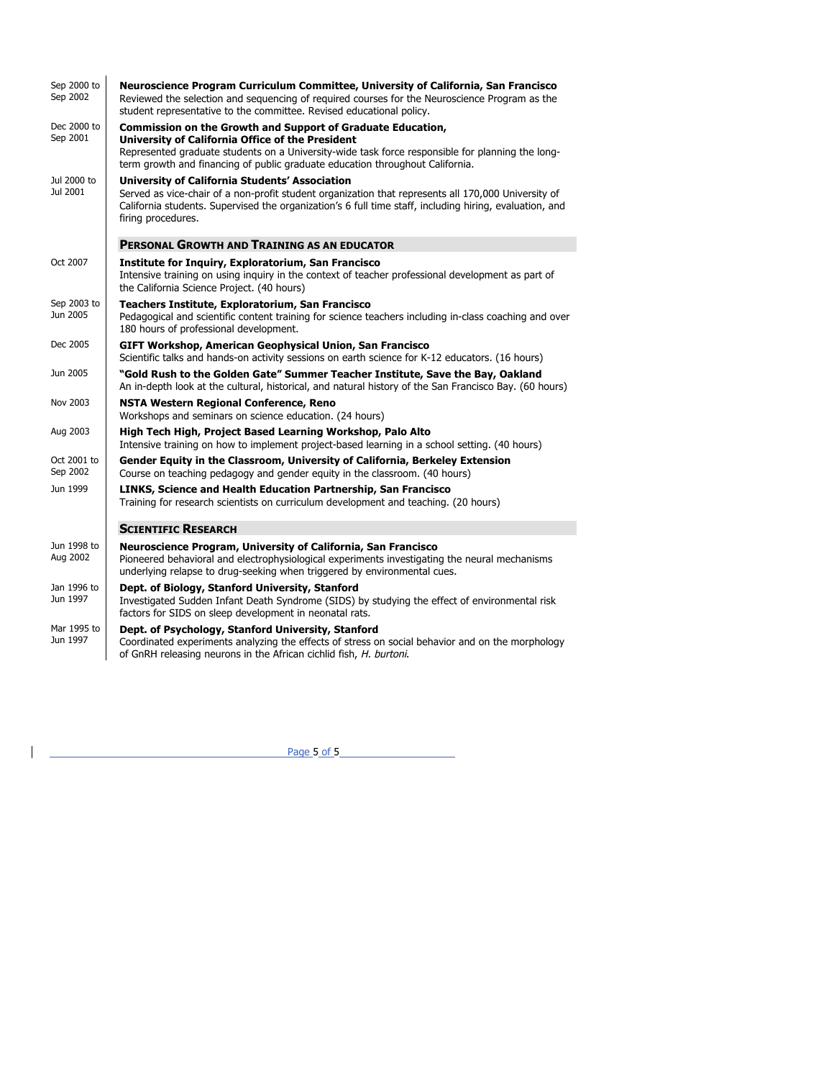| Sep 2000 to<br>Sep 2002 | Neuroscience Program Curriculum Committee, University of California, San Francisco<br>Reviewed the selection and sequencing of required courses for the Neuroscience Program as the<br>student representative to the committee. Revised educational policy.                            |
|-------------------------|----------------------------------------------------------------------------------------------------------------------------------------------------------------------------------------------------------------------------------------------------------------------------------------|
| Dec 2000 to             | <b>Commission on the Growth and Support of Graduate Education,</b>                                                                                                                                                                                                                     |
| Sep 2001                | University of California Office of the President<br>Represented graduate students on a University-wide task force responsible for planning the long-<br>term growth and financing of public graduate education throughout California.                                                  |
| Jul 2000 to<br>Jul 2001 | University of California Students' Association<br>Served as vice-chair of a non-profit student organization that represents all 170,000 University of<br>California students. Supervised the organization's 6 full time staff, including hiring, evaluation, and<br>firing procedures. |
|                         | <b>PERSONAL GROWTH AND TRAINING AS AN EDUCATOR</b>                                                                                                                                                                                                                                     |
| Oct 2007                | Institute for Inquiry, Exploratorium, San Francisco<br>Intensive training on using inquiry in the context of teacher professional development as part of<br>the California Science Project. (40 hours)                                                                                 |
| Sep 2003 to<br>Jun 2005 | Teachers Institute, Exploratorium, San Francisco<br>Pedagogical and scientific content training for science teachers including in-class coaching and over<br>180 hours of professional development.                                                                                    |
| Dec 2005                | GIFT Workshop, American Geophysical Union, San Francisco<br>Scientific talks and hands-on activity sessions on earth science for K-12 educators. (16 hours)                                                                                                                            |
| Jun 2005                | "Gold Rush to the Golden Gate" Summer Teacher Institute, Save the Bay, Oakland<br>An in-depth look at the cultural, historical, and natural history of the San Francisco Bay. (60 hours)                                                                                               |
| Nov 2003                | <b>NSTA Western Regional Conference, Reno</b><br>Workshops and seminars on science education. (24 hours)                                                                                                                                                                               |
| Aug 2003                | High Tech High, Project Based Learning Workshop, Palo Alto<br>Intensive training on how to implement project-based learning in a school setting. (40 hours)                                                                                                                            |
| Oct 2001 to<br>Sep 2002 | Gender Equity in the Classroom, University of California, Berkeley Extension<br>Course on teaching pedagogy and gender equity in the classroom. (40 hours)                                                                                                                             |
| Jun 1999                | LINKS, Science and Health Education Partnership, San Francisco<br>Training for research scientists on curriculum development and teaching. (20 hours)                                                                                                                                  |
|                         | <b>SCIENTIFIC RESEARCH</b>                                                                                                                                                                                                                                                             |
| Jun 1998 to<br>Aug 2002 | Neuroscience Program, University of California, San Francisco<br>Pioneered behavioral and electrophysiological experiments investigating the neural mechanisms<br>underlying relapse to drug-seeking when triggered by environmental cues.                                             |
| Jan 1996 to<br>Jun 1997 | Dept. of Biology, Stanford University, Stanford<br>Investigated Sudden Infant Death Syndrome (SIDS) by studying the effect of environmental risk<br>factors for SIDS on sleep development in neonatal rats.                                                                            |
| Mar 1995 to<br>Jun 1997 | Dept. of Psychology, Stanford University, Stanford<br>Coordinated experiments analyzing the effects of stress on social behavior and on the morphology<br>of GnRH releasing neurons in the African cichlid fish, H. burtoni.                                                           |
|                         |                                                                                                                                                                                                                                                                                        |

<u>Page 5 of 5</u>

 $\mathbf{I}$